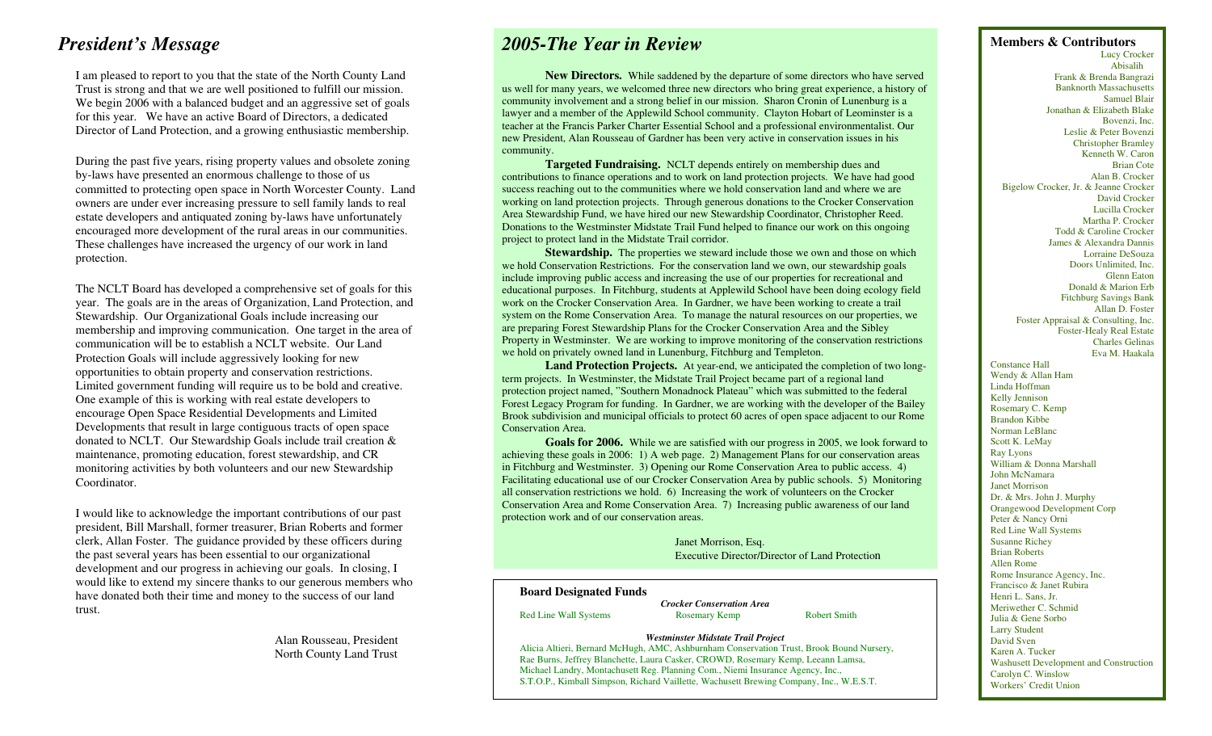I am pleased to report to you that the state of the North County Land Trust is strong and that we are well positioned to fulfill our mission. We begin 2006 with a balanced budget and an aggressive set of goals for this year. We have an active Board of Directors, a dedicated Director of Land Protection, and a growing enthusiastic membership.

Exercise of the past five years, rising property values and obsolete zoning community.<br> **Community Targeted Fundraising** NCLT depends entirely on membership dues and by-laws have presented an enormous challenge to those of us committed to protecting open space in North Worcester County. Land owners are under ever increasing pressure to sell family lands to real estate developers and antiquated zoning by-laws have unfortunately encouraged more development of the rural areas in our communities. These challenges have increased the urgency of our work in land protection.

year. The goals are in the areas of Organization, Land Protection, and Stewardship. Our Organizational Goals include increasing our membership and improving communication. One target in the area of communication will be to establish a NCLT website. Our Land Protection Goals will include aggressively looking for new opportunities to obtain property and conservation restrictions. Limited government funding will require us to be bold and creative. One example of this is working with real estate developers to encourage Open Space Residential Developments and Limited Developments that result in large contiguous tracts of open space donated to NCLT. Our Stewardship Goals include trail creation & maintenance, promoting education, forest stewardship, and CR monitoring activities by both volunteers and our new Stewardship Coordinator.

I would like to acknowledge the important contributions of our past president, Bill Marshall, former treasurer, Brian Roberts and former clerk, Allan Foster. The guidance provided by these officers during the past several years has been essential to our organizational development and our progress in achieving our goals. In closing, I would like to extend my sincere thanks to our generous members who have donated both their time and money to the success of our land trust.

# **President's Message 2005-The Year in Review 1996-The Year in President's Members & Contributors**

**New Directors.** While saddened by the departure of some directors who have served us well for many years, we welcomed three new directors who bring great experience, a history of community involvement and a strong belief in our mission. Sharon Cronin of Lunenburg is a lawyer and a member of the Applewild School community. Clayton Hobart of Leominster is a teacher at the Francis Parker Charter Essential School and a professional environmentalist. Our new President, Alan Rousseau of Gardner has been very active in conservation issues in his community.

**Targeted Fundraising.** NCLT depends entirely on membership dues and contributions to finance operations and to work on land protection projects. We have had good success reaching out to the communities where we hold conservation land and where we are working on land protection projects. Through generous donations to the Crocker Conservation Area Stewardship Fund, we have hired our new Stewardship Coordinator, Christopher Reed. Donations to the Westminster Midstate Trail Fund helped to finance our work on this ongoing project to protect land in the Midstate Trail corridor.

**Stewardship.** The properties we steward include those we own and those on which we hold Conservation Restrictions. For the conservation land we own, our stewardship goals include improving public access and increasing the use of our properties for recreational and The NCLT Board has developed a comprehensive set of goals for this educational purposes. In Fitchburg, students at Applewild School have been doing ecology field Donald & Marion Erb Donald & Marion Erb work on the Crocker Conservation Area. In Gardner, we have been working to create a trail system on the Rome Conservation Area. To manage the natural resources on our properties, we are preparing Forest Stewardship Plans for the Crocker Conservation Area and the Sibley Property in Westminster. We are working to improve monitoring of the conservation restrictions we hold on privately owned land in Lunenburg, Fitchburg and Templeton.

**Land Protection Projects.** At year-end, we anticipated the completion of two longterm projects. In Westminster, the Midstate Trail Project became part of a regional land protection project named, "Southern Monadnock Plateau" which was submitted to the federal Forest Legacy Program for funding. In Gardner, we are working with the developer of the Bailey Brook subdivision and municipal officials to protect 60 acres of open space adjacent to our Rome Conservation Area.

**Goals for 2006.** While we are satisfied with our progress in 2005, we look forward to achieving these goals in 2006: 1) A web page. 2) Management Plans for our conservation areas in Fitchburg and Westminster. 3) Opening our Rome Conservation Area to public access. 4) Facilitating educational use of our Crocker Conservation Area by public schools. 5) Monitoring all conservation restrictions we hold. 6) Increasing the work of volunteers on the Crocker Conservation Area and Rome Conservation Area. 7) Increasing public awareness of our land protection work and of our conservation areas.

> Janet Morrison, Esq. Susanne Richey<br>
> Exacutive Director/Director of Land Protection Executive Director/Director of Land Protection

**Crocker Conservation Area Robert Smith Merivation Conservation Area Robert Smith Merivation C. Schmid Merivation C. Schmid Merivation C. Schmid Merivation Merivation Merivation Robert Smith Merivatio** 

## Larry Student

Alan Rousseau, President **David Sven Westminster Midstate Trail Project** David Sven David Sven Alicia Altieri, Bernard McHugh, AMC, Ashburnham Conservation Trust, Brook Bound Nursery, David Sven A Tu North County Land Trust **Exercise 1996** Microsoft Rae Burns, Jeffrey Blanchette, Laura Casker, CROWD, Rosemary Kemp, Leeann Lamsa, Karen A. Tucker Novelet Development Development Development Development Development Develop Michael Landry, Montachusett Reg. Planning Com., Niemi Insurance Agency, Inc., Carolyn C. Winslow Carolyn C. Winslow S.T.O.P., Kimball Simpson, Richard Vaillette, Wachusett Brewing Company, Inc., W.E.S.T. Workers' Credit U S.T.O.P., Kimball Simpson, Richard Vaillette, Wachusett Brewing Company, Inc., W.E.S.T.

 Lucy Crocker Abisalih Frank & Brenda Bangrazi Banknorth Massachusetts Samuel Blair Jonathan & Elizabeth Blake Bovenzi, Inc. Leslie & Peter Bovenzi Christopher Bramley Brian Cote Alan B. Crocker Bigelow Crocker, Jr. & Jeanne Crocker David Crocker Lucilla Crocker Martha P. Crocker Todd & Caroline Crocker James & Alexandra Dannis Lorraine DeSouza Doors Unlimited, Inc. Glenn Eaton Fitchburg Savings Bank Allan D. Foster Foster Appraisal & Consulting, Inc. Foster-Healy Real Estate Charles Gelinas Eva M. Haakala Constance Hall

Wendy & Allan Ham Linda Hoffman Kelly Jennison Rosemary C. Kemp Brandon Kibbe Norman LeBlanc Scott K. LeMay Ray Lyons William & Donna Marshall John McNamara Janet Morrison Dr. & Mrs. John J. Murphy<br>Orangewood Development Corp Peter & Nancy Orni Red Line Wall Systems Allen Rome Rome Insurance Agency, Inc. **Francisco & Janet Rubira Board Designated Funds Henri L. Sans, Jr. Henri L. Sans, Jr. Henri L. Sans, Jr.** Red Line Wall Systems Rosemary Kemp Robert Smith Julia & Gene Sorbo<br>Larry Student Washusett Development and Construction<br>Carolyn C. Winslow